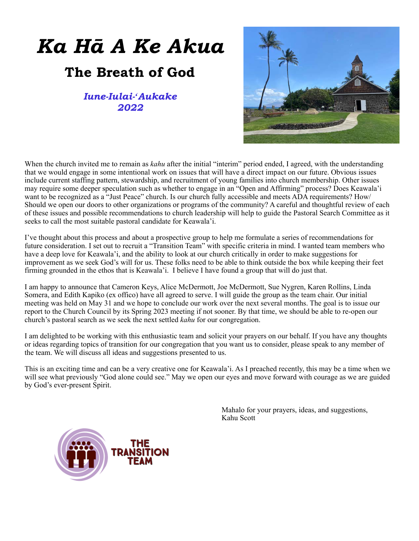# *Ka Hā A Ke Akua*

# **The Breath of God**

*Iune-Iulai-ʻAukake 2022*



When the church invited me to remain as *kahu* after the initial "interim" period ended, I agreed, with the understanding that we would engage in some intentional work on issues that will have a direct impact on our future. Obvious issues include current staffing pattern, stewardship, and recruitment of young families into church membership. Other issues may require some deeper speculation such as whether to engage in an "Open and Affirming" process? Does Keawala'i want to be recognized as a "Just Peace" church. Is our church fully accessible and meets ADA requirements? How/ Should we open our doors to other organizations or programs of the community? A careful and thoughtful review of each of these issues and possible recommendations to church leadership will help to guide the Pastoral Search Committee as it seeks to call the most suitable pastoral candidate for Keawala'i.

I've thought about this process and about a prospective group to help me formulate a series of recommendations for future consideration. I set out to recruit a "Transition Team" with specific criteria in mind. I wanted team members who have a deep love for Keawala'i, and the ability to look at our church critically in order to make suggestions for improvement as we seek God's will for us. These folks need to be able to think outside the box while keeping their feet firming grounded in the ethos that is Keawala'i. I believe I have found a group that will do just that.

I am happy to announce that Cameron Keys, Alice McDermott, Joe McDermott, Sue Nygren, Karen Rollins, Linda Somera, and Edith Kapiko (ex offico) have all agreed to serve. I will guide the group as the team chair. Our initial meeting was held on May 31 and we hope to conclude our work over the next several months. The goal is to issue our report to the Church Council by its Spring 2023 meeting if not sooner. By that time, we should be able to re-open our church's pastoral search as we seek the next settled *kahu* for our congregation.

I am delighted to be working with this enthusiastic team and solicit your prayers on our behalf. If you have any thoughts or ideas regarding topics of transition for our congregation that you want us to consider, please speak to any member of the team. We will discuss all ideas and suggestions presented to us.

This is an exciting time and can be a very creative one for Keawala'i. As I preached recently, this may be a time when we will see what previously "God alone could see." May we open our eyes and move forward with courage as we are guided by God's ever-present Spirit.

> Mahalo for your prayers, ideas, and suggestions, Kahu Scott

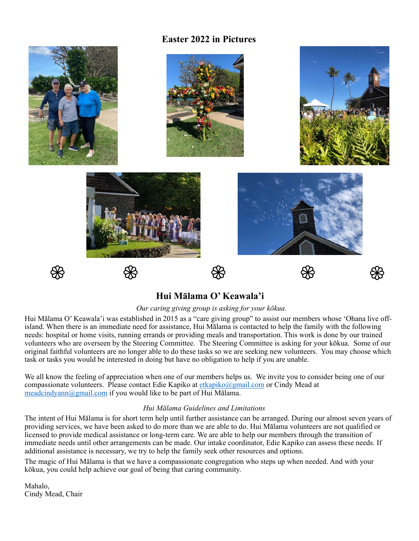### **Easter 2022 in Pictures**



# **Hui Mālama O' Keawala'i**

#### *Our caring giving group is asking for your kōkua.*

Hui Mālama O' Keawala'i was established in 2015 as a "care giving group" to assist our members whose 'Ohana live offisland. When there is an immediate need for assistance, Hui Mālama is contacted to help the family with the following needs: hospital or home visits, running errands or providing meals and transportation. This work is done by our trained volunteers who are overseen by the Steering Committee. The Steering Committee is asking for your kōkua. Some of our original faithful volunteers are no longer able to do these tasks so we are seeking new volunteers. You may choose which task or tasks you would be interested in doing but have no obligation to help if you are unable.

We all know the feeling of appreciation when one of our members helps us. We invite you to consider being one of our compassionate volunteers. Please contact Edie Kapiko at [etkapiko@gmail.com](mailto:etkapiko@gmail.com) or Cindy Mead at [meadcindyann@gmail.com](mailto:meadcindyann@gmail.com) if you would like to be part of Hui Mālama.

#### *Hui Mālama Guidelines and Limitations*

The intent of Hui Mālama is for short term help until further assistance can be arranged. During our almost seven years of providing services, we have been asked to do more than we are able to do. Hui Mālama volunteers are not qualified or licensed to provide medical assistance or long-term care. We are able to help our members through the transition of immediate needs until other arrangements can be made. Our intake coordinator, Edie Kapiko can assess these needs. If additional assistance is necessary, we try to help the family seek other resources and options.

The magic of Hui Mālama is that we have a compassionate congregation who steps up when needed. And with your kōkua, you could help achieve our goal of being that caring community.

Mahalo, Cindy Mead, Chair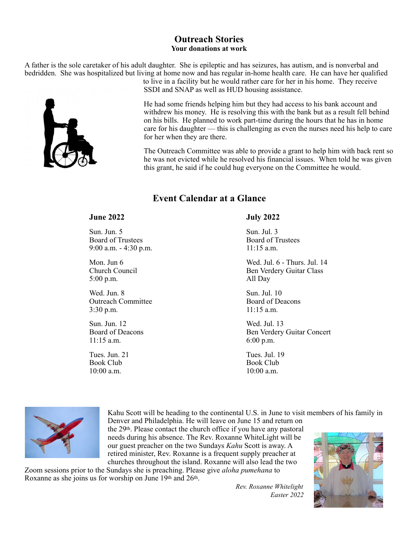#### **Outreach Stories Your donations at work**

A father is the sole caretaker of his adult daughter. She is epileptic and has seizures, has autism, and is nonverbal and bedridden. She was hospitalized but living at home now and has regular in-home health care. He can have her qualified



to live in a facility but he would rather care for her in his home. They receive SSDI and SNAP as well as HUD housing assistance.

He had some friends helping him but they had access to his bank account and withdrew his money. He is resolving this with the bank but as a result fell behind on his bills. He planned to work part-time during the hours that he has in home care for his daughter — this is challenging as even the nurses need his help to care for her when they are there.

The Outreach Committee was able to provide a grant to help him with back rent so he was not evicted while he resolved his financial issues. When told he was given this grant, he said if he could hug everyone on the Committee he would.

#### **Event Calendar at a Glance**

Sun. Jun. 5 Sun. Jul. 3 Board of Trustees Board of Trustees 9:00 a.m. - 4:30 p.m. 11:15 a.m.

5:00 p.m. All Day

Wed. Jun. 8 Sun. Jul. 10 Outreach Committee Board of Deacons 3:30 p.m. 11:15 a.m.

Sun. Jun. 12 Wed. Jul. 13 11:15 a.m. 6:00 p.m.

Book Club Book Club 10:00 a.m. 10:00 a.m.

#### **June 2022 July 2022**

Mon. Jun 6 Wed. Jul. 6 - Thurs. Jul. 14 Church Council Ben Verdery Guitar Class

Board of Deacons Ben Verdery Guitar Concert

Tues. Jun. 21 Tues. Jul. 19



Kahu Scott will be heading to the continental U.S. in June to visit members of his family in Denver and Philadelphia. He will leave on June 15 and return on the 29th. Please contact the church office if you have any pastoral needs during his absence. The Rev. Roxanne WhiteLight will be our guest preacher on the two Sundays *Kahu* Scott is away. A retired minister, Rev. Roxanne is a frequent supply preacher at

churches throughout the island. Roxanne will also lead the two Zoom sessions prior to the Sundays she is preaching. Please give *aloha pumehana* to Roxanne as she joins us for worship on June 19th and 26th.

> *Rev. Roxanne Whitelight Easter 2022*

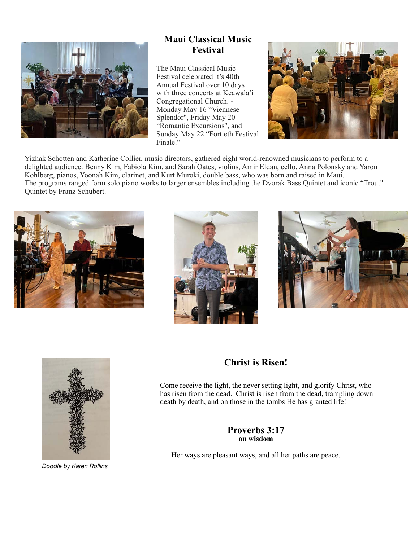

# **Maui Classical Music Festival**

The Maui Classical Music Festival celebrated it's 40th Annual Festival over 10 days with three concerts at Keawala'i Congregational Church. - Monday May 16 "Viennese Splendor", Friday May 20 "Romantic Excursions", and Sunday May 22 "Fortieth Festival Finale."



Yizhak Schotten and Katherine Collier, music directors, gathered eight world-renowned musicians to perform to a delighted audience. Benny Kim, Fabiola Kim, and Sarah Oates, violins, Amir Eldan, cello, Anna Polonsky and Yaron Kohlberg, pianos, Yoonah Kim, clarinet, and Kurt Muroki, double bass, who was born and raised in Maui. The programs ranged form solo piano works to larger ensembles including the Dvorak Bass Quintet and iconic "Trout" Quintet by Franz Schubert.









*Doodle by Karen Rollins*

#### **Christ is Risen!**

Come receive the light, the never setting light, and glorify Christ, who has risen from the dead. Christ is risen from the dead, trampling down death by death, and on those in the tombs He has granted life!

#### **Proverbs 3:17 on wisdom**

Her ways are pleasant ways, and all her paths are peace.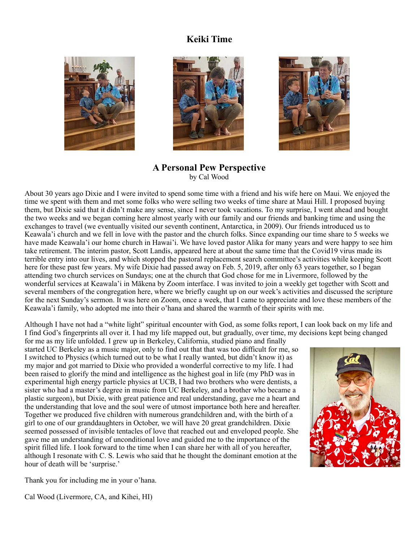## **Keiki Time**







**A Personal Pew Perspective** by Cal Wood

About 30 years ago Dixie and I were invited to spend some time with a friend and his wife here on Maui. We enjoyed the time we spent with them and met some folks who were selling two weeks of time share at Maui Hill. I proposed buying them, but Dixie said that it didn't make any sense, since I never took vacations. To my surprise, I went ahead and bought the two weeks and we began coming here almost yearly with our family and our friends and banking time and using the exchanges to travel (we eventually visited our seventh continent, Antarctica, in 2009). Our friends introduced us to Keawala'i church and we fell in love with the pastor and the church folks. Since expanding our time share to 5 weeks we have made Keawala'i our home church in Hawai'i. We have loved pastor Alika for many years and were happy to see him take retirement. The interim pastor, Scott Landis, appeared here at about the same time that the Covid19 virus made its terrible entry into our lives, and which stopped the pastoral replacement search committee's activities while keeping Scott here for these past few years. My wife Dixie had passed away on Feb. 5, 2019, after only 63 years together, so I began attending two church services on Sundays; one at the church that God chose for me in Livermore, followed by the wonderful services at Keawala'i in Mākena by Zoom interface. I was invited to join a weekly get together with Scott and several members of the congregation here, where we briefly caught up on our week's activities and discussed the scripture for the next Sunday's sermon. It was here on Zoom, once a week, that I came to appreciate and love these members of the Keawala'i family, who adopted me into their o'hana and shared the warmth of their spirits with me.

Although I have not had a "white light" spiritual encounter with God, as some folks report, I can look back on my life and I find God's fingerprints all over it. I had my life mapped out, but gradually, over time, my decisions kept being changed

for me as my life unfolded. I grew up in Berkeley, California, studied piano and finally started UC Berkeley as a music major, only to find out that that was too difficult for me, so I switched to Physics (which turned out to be what I really wanted, but didn't know it) as my major and got married to Dixie who provided a wonderful corrective to my life. I had been raised to glorify the mind and intelligence as the highest goal in life (my PhD was in experimental high energy particle physics at UCB, I had two brothers who were dentists, a sister who had a master's degree in music from UC Berkeley, and a brother who became a plastic surgeon), but Dixie, with great patience and real understanding, gave me a heart and the understanding that love and the soul were of utmost importance both here and hereafter. Together we produced five children with numerous grandchildren and, with the birth of a girl to one of our granddaughters in October, we will have 20 great grandchildren. Dixie seemed possessed of invisible tentacles of love that reached out and enveloped people. She gave me an understanding of unconditional love and guided me to the importance of the spirit filled life. I look forward to the time when I can share her with all of you hereafter, although I resonate with C. S. Lewis who said that he thought the dominant emotion at the hour of death will be 'surprise.'



Thank you for including me in your o'hana.

Cal Wood (Livermore, CA, and Kihei, HI)